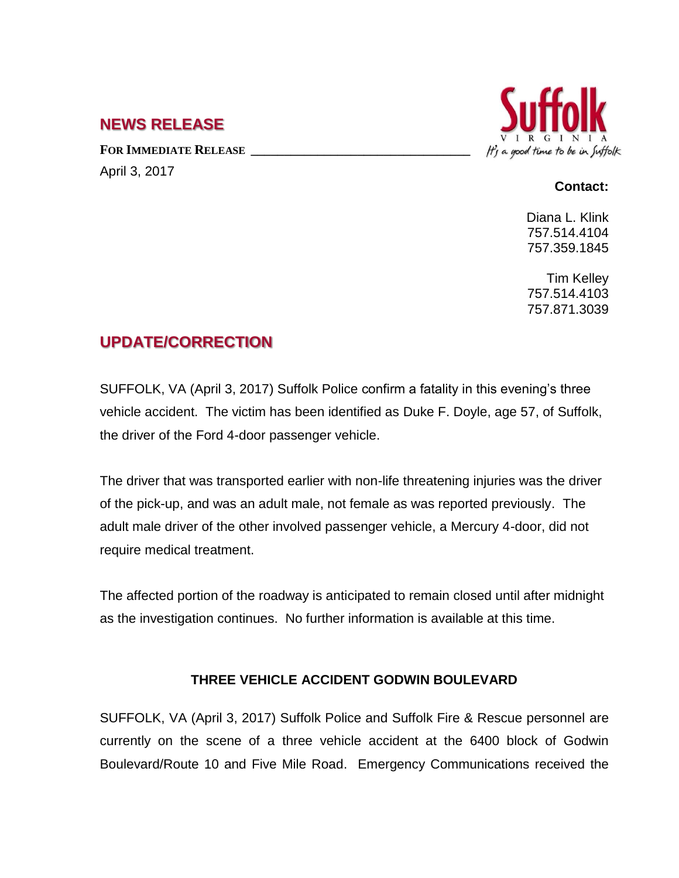## **NEWS RELEASE**

**FOR IMMEDIATE RELEASE \_\_\_\_\_\_\_\_\_\_\_\_\_\_\_\_\_\_\_\_\_\_\_\_\_\_\_\_\_\_\_\_\_** April 3, 2017



## **Contact:**

Diana L. Klink 757.514.4104 757.359.1845

Tim Kelley 757.514.4103 757.871.3039

## **UPDATE/CORRECTION**

SUFFOLK, VA (April 3, 2017) Suffolk Police confirm a fatality in this evening's three vehicle accident. The victim has been identified as Duke F. Doyle, age 57, of Suffolk, the driver of the Ford 4-door passenger vehicle.

The driver that was transported earlier with non-life threatening injuries was the driver of the pick-up, and was an adult male, not female as was reported previously. The adult male driver of the other involved passenger vehicle, a Mercury 4-door, did not require medical treatment.

The affected portion of the roadway is anticipated to remain closed until after midnight as the investigation continues. No further information is available at this time.

## **THREE VEHICLE ACCIDENT GODWIN BOULEVARD**

SUFFOLK, VA (April 3, 2017) Suffolk Police and Suffolk Fire & Rescue personnel are currently on the scene of a three vehicle accident at the 6400 block of Godwin Boulevard/Route 10 and Five Mile Road. Emergency Communications received the